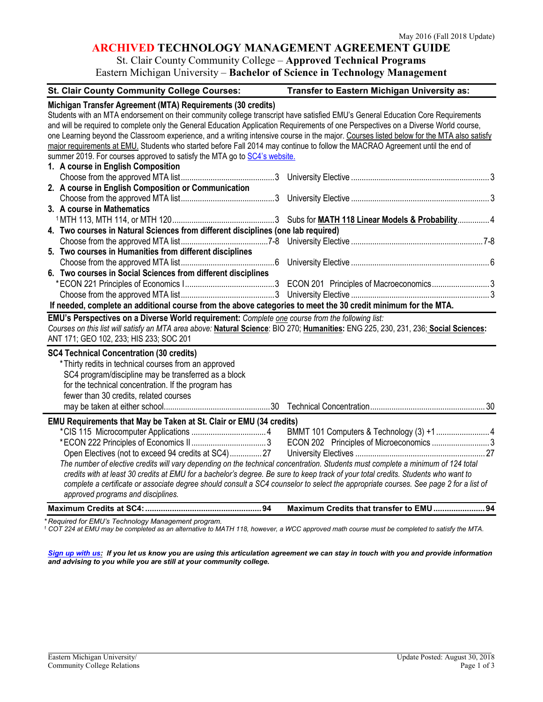# **ARCHIVED TECHNOLOGY MANAGEMENT AGREEMENT GUIDE**

# St. Clair County Community College – **Approved Technical Programs**

Eastern Michigan University – **Bachelor of Science in Technology Management**

| <b>St. Clair County Community College Courses:</b>                                                                                       | Transfer to Eastern Michigan University as: |
|------------------------------------------------------------------------------------------------------------------------------------------|---------------------------------------------|
| Michigan Transfer Agreement (MTA) Requirements (30 credits)                                                                              |                                             |
| Students with an MTA endorsement on their community college transcript have satisfied EMU's General Education Core Requirements          |                                             |
| and will be required to complete only the General Education Application Requirements of one Perspectives on a Diverse World course,      |                                             |
| one Learning beyond the Classroom experience, and a writing intensive course in the major. Courses listed below for the MTA also satisfy |                                             |
| major requirements at EMU. Students who started before Fall 2014 may continue to follow the MACRAO Agreement until the end of            |                                             |
| summer 2019. For courses approved to satisfy the MTA go to SC4's website.                                                                |                                             |
| 1. A course in English Composition                                                                                                       |                                             |
|                                                                                                                                          |                                             |
| 2. A course in English Composition or Communication                                                                                      |                                             |
|                                                                                                                                          |                                             |
| 3. A course in Mathematics                                                                                                               |                                             |
|                                                                                                                                          |                                             |
| 4. Two courses in Natural Sciences from different disciplines (one lab required)                                                         |                                             |
|                                                                                                                                          |                                             |
| 5. Two courses in Humanities from different disciplines                                                                                  |                                             |
|                                                                                                                                          |                                             |
| 6. Two courses in Social Sciences from different disciplines                                                                             |                                             |
|                                                                                                                                          |                                             |
|                                                                                                                                          |                                             |
| If needed, complete an additional course from the above categories to meet the 30 credit minimum for the MTA.                            |                                             |
| EMU's Perspectives on a Diverse World requirement: Complete one course from the following list:                                          |                                             |
| Courses on this list will satisfy an MTA area above: Natural Science: BIO 270; Humanities: ENG 225, 230, 231, 236; Social Sciences:      |                                             |
| ANT 171; GEO 102, 233; HIS 233; SOC 201                                                                                                  |                                             |
| <b>SC4 Technical Concentration (30 credits)</b>                                                                                          |                                             |
| *Thirty redits in technical courses from an approved                                                                                     |                                             |
| SC4 program/discipline may be transferred as a block                                                                                     |                                             |
| for the technical concentration. If the program has                                                                                      |                                             |
| fewer than 30 credits, related courses                                                                                                   |                                             |
|                                                                                                                                          |                                             |
| EMU Requirements that May be Taken at St. Clair or EMU (34 credits)                                                                      |                                             |
|                                                                                                                                          |                                             |
|                                                                                                                                          | ECON 202 Principles of Microeconomics 3     |
| Open Electives (not to exceed 94 credits at SC4) 27                                                                                      |                                             |
| The number of elective credits will vary depending on the technical concentration. Students must complete a minimum of 124 total         |                                             |
| credits with at least 30 credits at EMU for a bachelor's degree. Be sure to keep track of your total credits. Students who want to       |                                             |
| complete a certificate or associate degree should consult a SC4 counselor to select the appropriate courses. See page 2 for a list of    |                                             |
| approved programs and disciplines.                                                                                                       |                                             |
|                                                                                                                                          | Maximum Credits that transfer to EMU  94    |
| ired for EMI's Technology Monogement program                                                                                             |                                             |

*\* Required for EMU's Technology Management program. 1 COT 224 at EMU may be completed as an alternative to MATH 118, however, a WCC approved math course must be completed to satisfy the MTA.*

*[Sign up with us:](https://www.emich.edu/ccr/articulation-agreements/signup.php) If you let us know you are using this articulation agreement we can stay in touch with you and provide information and advising to you while you are still at your community college.*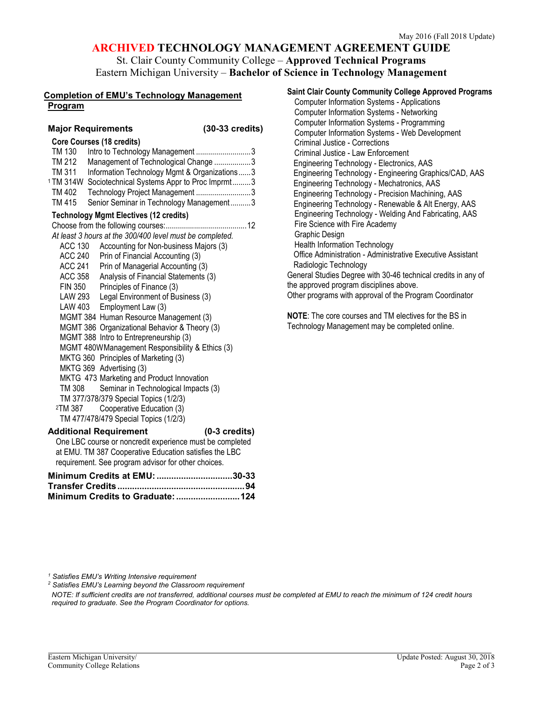## **ARCHIVED TECHNOLOGY MANAGEMENT AGREEMENT GUIDE**

## St. Clair County Community College – **Approved Technical Programs** Eastern Michigan University – **Bachelor of Science in Technology Management**

#### **Completion of EMU's Technology Management Program**

#### **Major Requirements (30-33 credits)**

| Core Courses (18 credits) |  |  |
|---------------------------|--|--|

| TM 130 | Intro to Technology Management 3                                 |  |
|--------|------------------------------------------------------------------|--|
| TM 212 | Management of Technological Change 3                             |  |
| TM 311 | Information Technology Mgmt & Organizations3                     |  |
|        | <sup>1</sup> TM 314W Sociotechnical Systems Appr to Proc Imprmt3 |  |
| TM 402 | Technology Project Management 3                                  |  |
| TM 415 | Senior Seminar in Technology Management3                         |  |
|        | <b>Technology Mgmt Electives (12 credits)</b>                    |  |
|        |                                                                  |  |

*At least 3 hours at the 300/400 level must be completed.*  ACC 130 Accounting for Non-business Majors (3) ACC 240 Prin of Financial Accounting (3) ACC 241 Prin of Managerial Accounting (3) ACC 358 Analysis of Financial Statements (3) FIN 350 Principles of Finance (3) LAW 293 Legal Environment of Business (3) LAW 403 Employment Law (3) MGMT 384 Human Resource Management (3) MGMT 386 Organizational Behavior & Theory (3) MGMT 388 Intro to Entrepreneurship (3) MGMT 480WManagement Responsibility & Ethics (3) MKTG 360 Principles of Marketing (3) MKTG 369 Advertising (3) MKTG 473 Marketing and Product Innovation TM 308 Seminar in Technological Impacts (3) TM 377/378/379 Special Topics (1/2/3)<br><sup>2</sup>TM 387 Cooperative Education (3) Cooperative Education (3) TM 477/478/479 Special Topics (1/2/3) **Additional Requirement (0-3 credits)** One LBC course or noncredit experience must be completed

at EMU. TM 387 Cooperative Education satisfies the LBC requirement. See program advisor for other choices.

**Minimum Credits at EMU:...............................30-33 Transfer Credits....................................................94 Minimum Credits to Graduate:..........................124**

| <b>Saint Clair County Community College Approved Programs</b> |
|---------------------------------------------------------------|
| <b>Computer Information Systems - Applications</b>            |
| <b>Computer Information Systems - Networking</b>              |
| <b>Computer Information Systems - Programming</b>             |
| Computer Information Systems - Web Development                |
| Criminal Justice - Corrections                                |
| Criminal Justice - Law Enforcement                            |
| Engineering Technology - Electronics, AAS                     |
| Engineering Technology - Engineering Graphics/CAD, AAS        |
| Engineering Technology - Mechatronics, AAS                    |
| Engineering Technology - Precision Machining, AAS             |
| Engineering Technology - Renewable & Alt Energy, AAS          |
| Engineering Technology - Welding And Fabricating, AAS         |
| Fire Science with Fire Academy                                |
| Graphic Design                                                |
| <b>Health Information Technology</b>                          |
| Office Administration - Administrative Executive Assistant    |
| Radiologic Technology                                         |
| General Studies Degree with 30-46 technical credits in any of |
| the approved program disciplines above.                       |

Other programs with approval of the Program Coordinator

**NOTE**: The core courses and TM electives for the BS in Technology Management may be completed online.

*<sup>1</sup> Satisfies EMU's Writing Intensive requirement*

*<sup>2</sup> Satisfies EMU's Learning beyond the Classroom requirement*

*NOTE: If sufficient credits are not transferred, additional courses must be completed at EMU to reach the minimum of 124 credit hours required to graduate. See the Program Coordinator for options.*